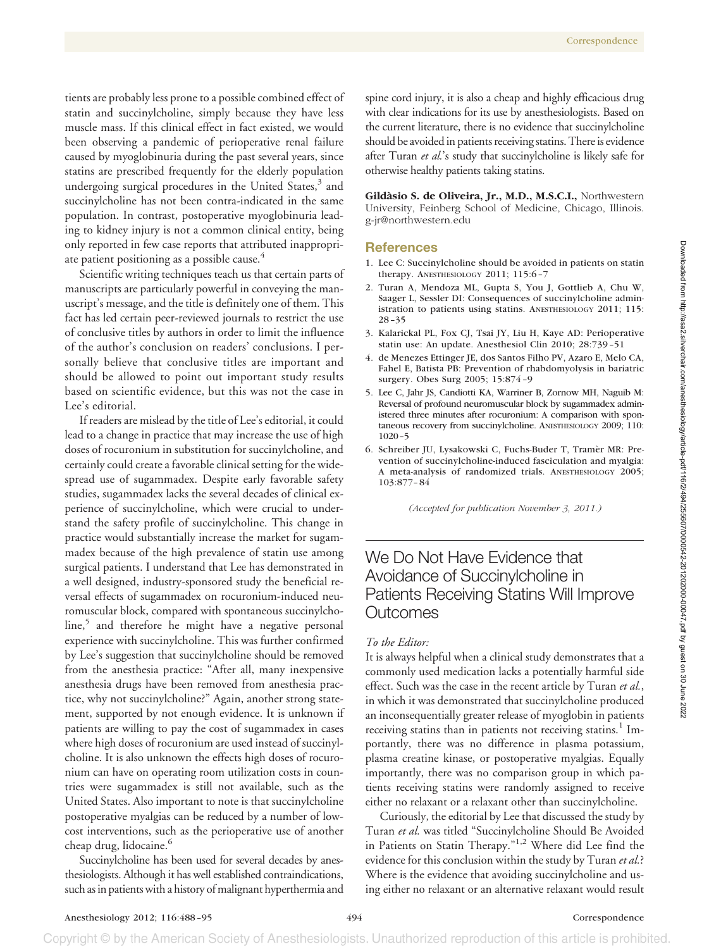tients are probably less prone to a possible combined effect of statin and succinylcholine, simply because they have less muscle mass. If this clinical effect in fact existed, we would been observing a pandemic of perioperative renal failure caused by myoglobinuria during the past several years, since statins are prescribed frequently for the elderly population undergoing surgical procedures in the United States, $3$  and succinylcholine has not been contra-indicated in the same population. In contrast, postoperative myoglobinuria leading to kidney injury is not a common clinical entity, being only reported in few case reports that attributed inappropriate patient positioning as a possible cause.<sup>4</sup>

Scientific writing techniques teach us that certain parts of manuscripts are particularly powerful in conveying the manuscript's message, and the title is definitely one of them. This fact has led certain peer-reviewed journals to restrict the use of conclusive titles by authors in order to limit the influence of the author's conclusion on readers' conclusions. I personally believe that conclusive titles are important and should be allowed to point out important study results based on scientific evidence, but this was not the case in Lee's editorial.

If readers are mislead by the title of Lee's editorial, it could lead to a change in practice that may increase the use of high doses of rocuronium in substitution for succinylcholine, and certainly could create a favorable clinical setting for the widespread use of sugammadex. Despite early favorable safety studies, sugammadex lacks the several decades of clinical experience of succinylcholine, which were crucial to understand the safety profile of succinylcholine. This change in practice would substantially increase the market for sugammadex because of the high prevalence of statin use among surgical patients. I understand that Lee has demonstrated in a well designed, industry-sponsored study the beneficial reversal effects of sugammadex on rocuronium-induced neuromuscular block, compared with spontaneous succinylcholine,<sup>5</sup> and therefore he might have a negative personal experience with succinylcholine. This was further confirmed by Lee's suggestion that succinylcholine should be removed from the anesthesia practice: "After all, many inexpensive anesthesia drugs have been removed from anesthesia practice, why not succinylcholine?" Again, another strong statement, supported by not enough evidence. It is unknown if patients are willing to pay the cost of sugammadex in cases where high doses of rocuronium are used instead of succinylcholine. It is also unknown the effects high doses of rocuronium can have on operating room utilization costs in countries were sugammadex is still not available, such as the United States. Also important to note is that succinylcholine postoperative myalgias can be reduced by a number of lowcost interventions, such as the perioperative use of another cheap drug, lidocaine.<sup>6</sup>

Succinylcholine has been used for several decades by anesthesiologists. Although it has well established contraindications, such as in patients with a history of malignant hyperthermia and

spine cord injury, it is also a cheap and highly efficacious drug with clear indications for its use by anesthesiologists. Based on the current literature, there is no evidence that succinylcholine should be avoided in patients receiving statins. There is evidence after Turan *et al.*'s study that succinylcholine is likely safe for otherwise healthy patients taking statins.

Gildàsio S. de Oliveira, Jr., M.D., M.S.C.I., Northwestern University, Feinberg School of Medicine, Chicago, Illinois. g-jr@northwestern.edu

## **References**

- 1. Lee C: Succinylcholine should be avoided in patients on statin therapy. ANESTHESIOLOGY 2011; 115:6-7
- 2. Turan A, Mendoza ML, Gupta S, You J, Gottlieb A, Chu W, Saager L, Sessler DI: Consequences of succinylcholine administration to patients using statins. ANESTHESIOLOGY 2011; 115: 28 –35
- 3. Kalarickal PL, Fox CJ, Tsai JY, Liu H, Kaye AD: Perioperative statin use: An update. Anesthesiol Clin 2010; 28:739 –51
- 4. de Menezes Ettinger JE, dos Santos Filho PV, Azaro E, Melo CA, Fahel E, Batista PB: Prevention of rhabdomyolysis in bariatric surgery. Obes Surg 2005; 15:874 –9
- 5. Lee C, Jahr JS, Candiotti KA, Warriner B, Zornow MH, Naguib M: Reversal of profound neuromuscular block by sugammadex administered three minutes after rocuronium: A comparison with spontaneous recovery from succinylcholine. ANESTHESIOLOGY 2009; 110: 1020 –5
- 6. Schreiber JU, Lysakowski C, Fuchs-Buder T, Tramèr MR: Prevention of succinylcholine-induced fasciculation and myalgia: A meta-analysis of randomized trials. ANESTHESIOLOGY 2005; 103:877– 84

*(Accepted for publication November 3, 2011.)*

# We Do Not Have Evidence that Avoidance of Succinylcholine in Patients Receiving Statins Will Improve Outcomes

#### *To the Editor:*

It is always helpful when a clinical study demonstrates that a commonly used medication lacks a potentially harmful side effect. Such was the case in the recent article by Turan *et al.*, in which it was demonstrated that succinylcholine produced an inconsequentially greater release of myoglobin in patients receiving statins than in patients not receiving statins.<sup>1</sup> Importantly, there was no difference in plasma potassium, plasma creatine kinase, or postoperative myalgias. Equally importantly, there was no comparison group in which patients receiving statins were randomly assigned to receive either no relaxant or a relaxant other than succinylcholine.

Curiously, the editorial by Lee that discussed the study by Turan *et al.* was titled "Succinylcholine Should Be Avoided in Patients on Statin Therapy."1,2 Where did Lee find the evidence for this conclusion within the study by Turan *et al.*? Where is the evidence that avoiding succinylcholine and using either no relaxant or an alternative relaxant would result

## Anesthesiology 2012; 116:488-95 494 Correspondence

Copyright © by the American Society of Anesthesiologists. Unauthorized reproduction of this article is prohibited